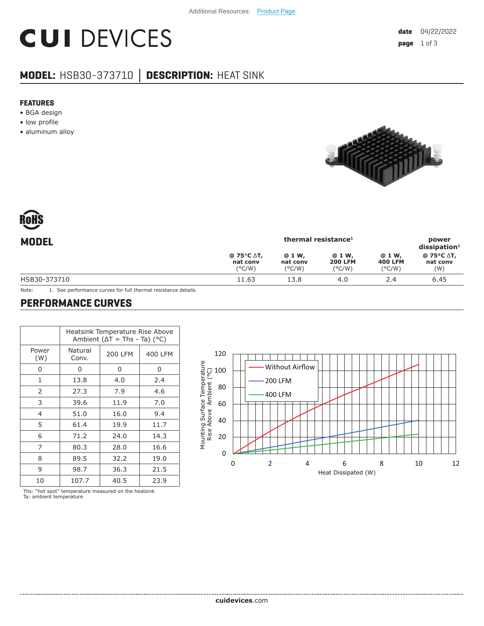# **CUI DEVICES**

### **MODEL:** HSB30-373710 **│ DESCRIPTION:** HEAT SINK

#### **FEATURES**

- BGA design
- low profile
- aluminum alloy



| RoHS  |
|-------|
| MODEL |

| <b>MODEL</b> | thermal resistance <sup>1</sup>                   |                                        |                                             |                                              | power<br>$dis$ sipation <sup>1</sup> |
|--------------|---------------------------------------------------|----------------------------------------|---------------------------------------------|----------------------------------------------|--------------------------------------|
|              | $@75°C \Delta T,$<br>nat conv<br>$(^{\circ}$ C/W) | @ 1 W,<br>nat conv<br>$(^{\circ}$ C/W) | @ 1 W,<br><b>200 LFM</b><br>$(^{\circ}C/W)$ | @ 1 W,<br><b>400 LFM</b><br>$(^{\circ}$ C/W) | @ 75°C ∆T,<br>nat conv<br>(W)        |
| HSB30-373710 | 11.63                                             | 13.8                                   | 4.0                                         | 2.4                                          | 6.45                                 |
|              |                                                   |                                        |                                             |                                              |                                      |

Note: 1. See performance curves for full thermal resistance details.

#### **PERFORMANCE CURVES**

|                | Heatsink Temperature Rise Above<br>Ambient ( $\Delta T$ = Ths - Ta) (°C) |         |         |  |  |
|----------------|--------------------------------------------------------------------------|---------|---------|--|--|
| Power<br>(W)   | Natural<br>Conv.                                                         | 200 LFM | 400 LFM |  |  |
| 0              | 0                                                                        | 0       | 0       |  |  |
| $\mathbf{1}$   | 13.8                                                                     | 4.0     | 2.4     |  |  |
| 2              | 27.3                                                                     | 7.9     | 4.6     |  |  |
| 3              | 39.6                                                                     | 11.9    | 7.0     |  |  |
| $\overline{4}$ | 51.0                                                                     | 16.0    | 9.4     |  |  |
| 5              | 61.4                                                                     | 19.9    | 11.7    |  |  |
| 6              | 71.2                                                                     | 24.0    | 14.3    |  |  |
| 7              | 80.3                                                                     | 28.0    | 16.6    |  |  |
| 8              | 89.5                                                                     | 32.2    | 19.0    |  |  |
| 9              | 98.7                                                                     | 36.3    | 21.5    |  |  |
| 10             | 107.7                                                                    | 40.5    | 23.9    |  |  |

120 <u> Tarihin Tarihin </u> Mounting Surface Temperature Without Airflow 100 Rise Above Ambient (°C) 200 LFM 80 400 LFM 60 40 20 0 0246 8 10 12 Heat Dissipated (W)

Ths: "hot spot" temperature measured on the heatsink Ta: ambient temperature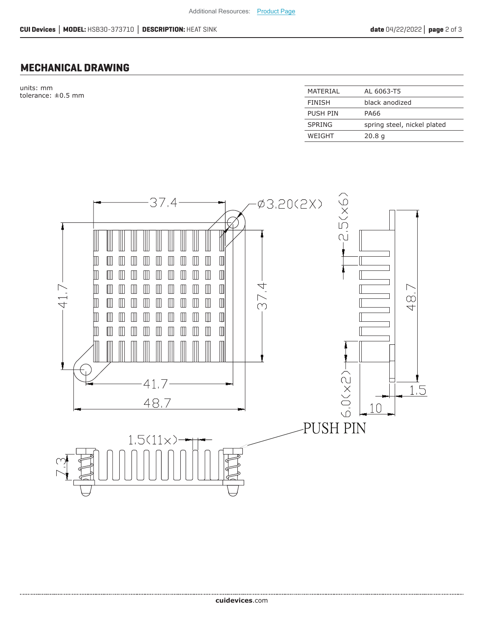#### **MECHANICAL DRAWING**

units: mm tolerance:  $\pm 0.5$  mm

| MATFRIAI      | AL 6063-T5                  |
|---------------|-----------------------------|
| <b>FINISH</b> | black anodized              |
| PUSH PIN      | PA66                        |
| <b>SPRING</b> | spring steel, nickel plated |
| WEIGHT        | 20.8 <sub>q</sub>           |